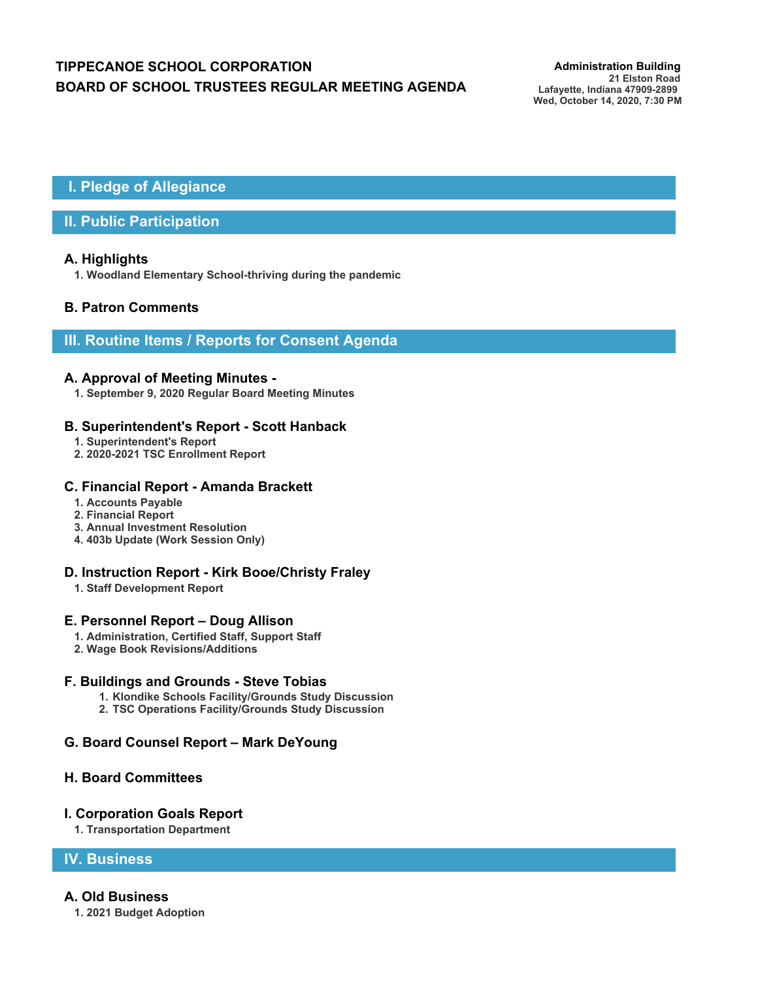# **TIPPECANOE SCHOOL CORPORATION** *Administration Building* **BOARD OF SCHOOL TRUSTEES REGULAR MEETING AGENDA**

 **I. Pledge of Allegiance**

# **II. Public Participation**

### **A. Highlights**

**1. Woodland Elementary School-thriving during the pandemic**

# **B. Patron Comments**

# **III. Routine Items / Reports for Consent Agenda**

#### **A. Approval of Meeting Minutes -**

**1. September 9, 2020 Regular Board Meeting Minutes**

#### **B. Superintendent's Report - Scott Hanback**

- **1. Superintendent's Report**
- **2. 2020-2021 TSC Enrollment Report**

#### **C. Financial Report - Amanda Brackett**

- **1. Accounts Payable**
- **2. Financial Report**
- **3. Annual Investment Resolution**
- **4. 403b Update (Work Session Only)**

# **D. Instruction Report - Kirk Booe/Christy Fraley**

**1. Staff Development Report**

#### **E. Personnel Report – Doug Allison**

- **1. Administration, Certified Staff, Support Staff**
- **2. Wage Book Revisions/Additions**

#### **F. Buildings and Grounds - Steve Tobias**

- **1. Klondike Schools Facility/Grounds Study Discussion**
- **2. TSC Operations Facility/Grounds Study Discussion**

#### **G. Board Counsel Report – Mark DeYoung**

#### **H. Board Committees**

#### **I. Corporation Goals Report**

**1. Transportation Department**

## **IV. Business**

#### **A. Old Business**

**1. 2021 Budget Adoption**